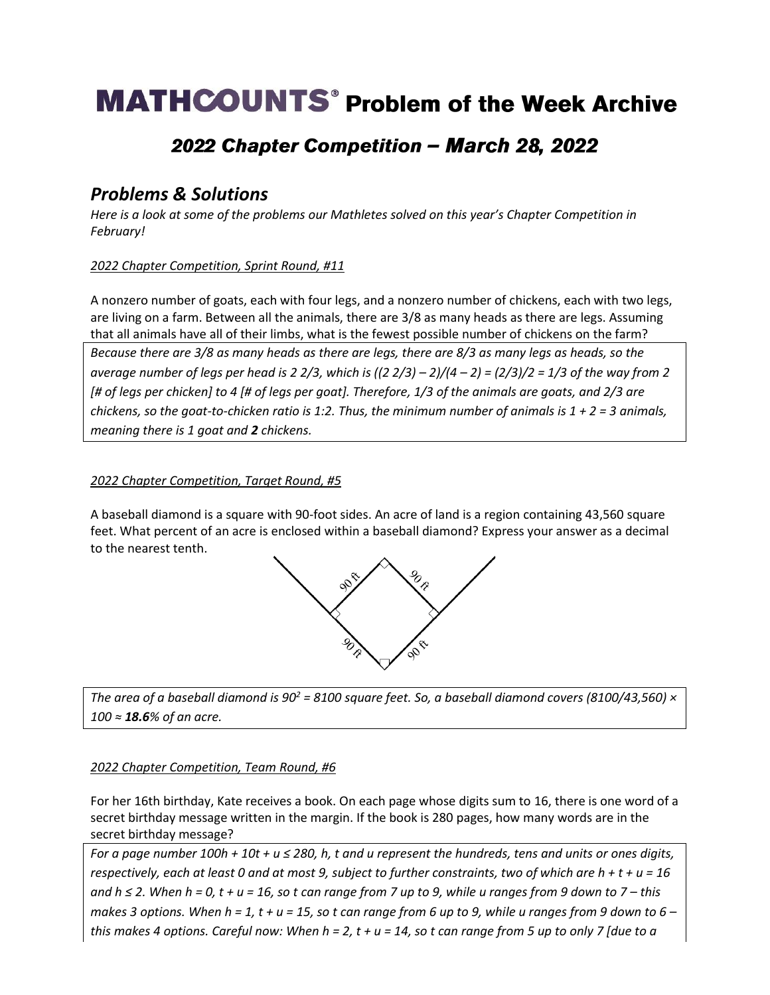# **MATHCOUNTS**<sup>®</sup> Problem of the Week Archive

## 2022 Chapter Competition - March 28, 2022

### *Problems & Solutions*

*Here is a look at some of the problems our Mathletes solved on this year's Chapter Competition in February!*

### *2022 Chapter Competition, Sprint Round, #11*

A nonzero number of goats, each with four legs, and a nonzero number of chickens, each with two legs, are living on a farm. Between all the animals, there are 3/8 as many heads as there are legs. Assuming that all animals have all of their limbs, what is the fewest possible number of chickens on the farm?

*Because there are 3/8 as many heads as there are legs, there are 8/3 as many legs as heads, so the average number of legs per head is 2 2/3, which is ((2 2/3) – 2)/(4 – 2) = (2/3)/2 = 1/3 of the way from 2 [# of legs per chicken] to 4 [# of legs per goat]. Therefore, 1/3 of the animals are goats, and 2/3 are chickens, so the goat-to-chicken ratio is 1:2. Thus, the minimum number of animals is 1 + 2 = 3 animals, meaning there is 1 goat and 2 chickens.* 

### *2022 Chapter Competition, Target Round, #5*

A baseball diamond is a square with 90-foot sides. An acre of land is a region containing 43,560 square feet. What percent of an acre is enclosed within a baseball diamond? Express your answer as a decimal to the nearest tenth.



*The area of a baseball diamond is 90<sup>2</sup> = 8100 square feet. So, a baseball diamond covers (8100/43,560) × 100 ≈ 18.6% of an acre.*

#### *2022 Chapter Competition, Team Round, #6*

For her 16th birthday, Kate receives a book. On each page whose digits sum to 16, there is one word of a secret birthday message written in the margin. If the book is 280 pages, how many words are in the secret birthday message?

*For a page number 100h + 10t + u ≤ 280, h, t and u represent the hundreds, tens and units or ones digits, respectively, each at least 0 and at most 9, subject to further constraints, two of which are h + t + u = 16 and h ≤ 2. When h = 0, t + u = 16, so t can range from 7 up to 9, while u ranges from 9 down to 7 – this makes 3 options. When h = 1, t + u = 15, so t can range from 6 up to 9, while u ranges from 9 down to 6 – this makes 4 options. Careful now: When h = 2, t + u = 14, so t can range from 5 up to only 7 [due to a*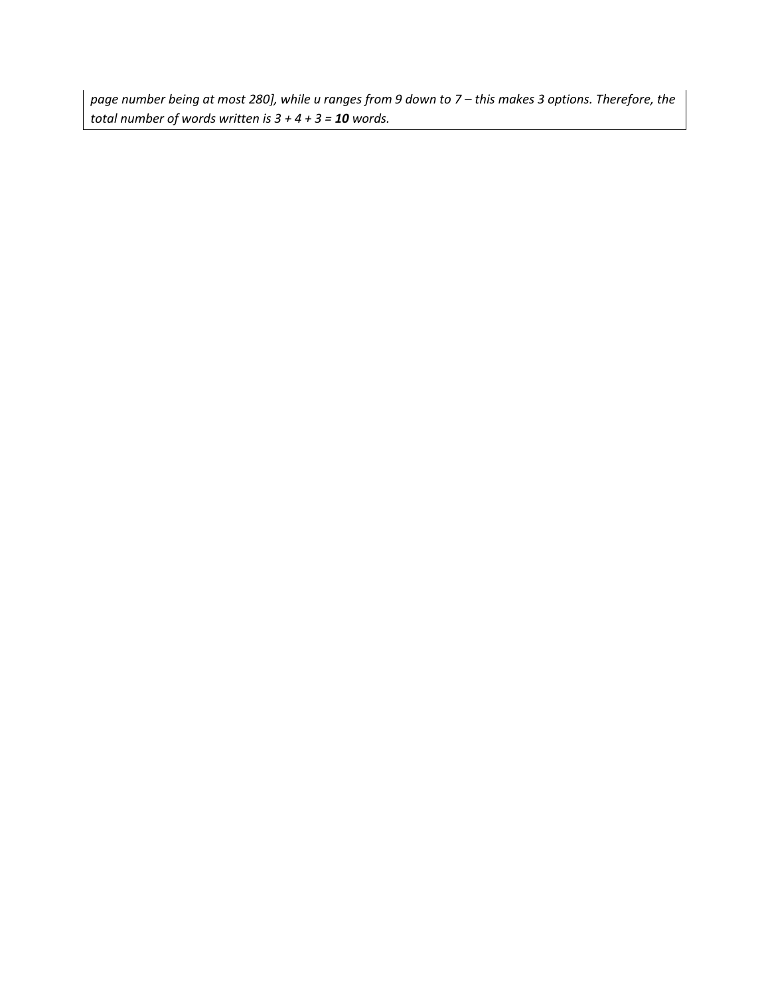*page number being at most 280], while u ranges from 9 down to 7 – this makes 3 options. Therefore, the total number of words written is 3 + 4 + 3 = 10 words.*